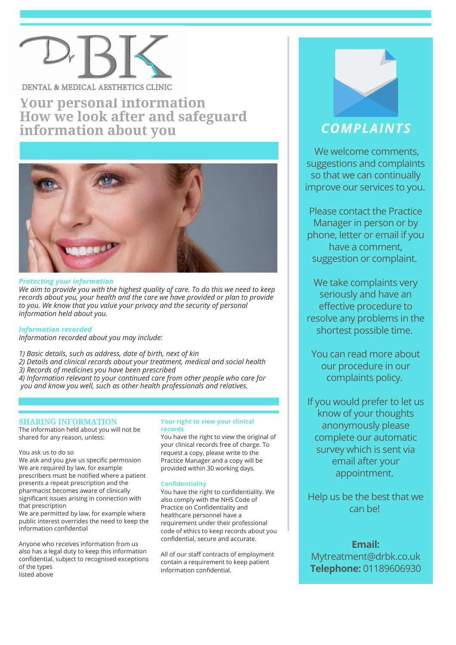# DENTAL & MEDICAL AESTHETICS CLINIC

**Your personal information How we look after and safeguard information about you**



# *Protecting your information*

*We aim to provide you with the highest quality of care. To do this we need to keep records about you, your health and the care we have provided or plan to provide to you. We know that you value your privacy and the security of personal information held about you.*

*Information recorded*

*Information recorded about you may include:*

*1) Basic details, such as address, date of birth, next of kin*

*2) Details and clinical records about your treatment, medical and social health 3) Records of medicines you have been prescribed*

*4) Information relevant to your continued care from other people who care for you and know you well, such as other health professionals and relatives.*

# **SHARING INFORMATION**

The information held about you will not be shared for any reason, unless:

# You ask us to do so

We ask and you give us specific permission We are required by law, for example prescribers must be notified where a patient presents a repeat prescription and the pharmacist becomes aware of clinically significant issues arising in connection with that prescription

We are permitted by law, for example where public interest overrides the need to keep the information confidential

Anyone who receives information from us also has a legal duty to keep this information confidential, subject to recognised exceptions of the types listed above

### **Your right to view your clinical records**

You have the right to view the original of your clinical records free of charge. To request a copy, please write to the Practice Manager and a copy will be provided within 30 working days.

# **Confidentiality**

You have the right to confidentiality. We also comply with the NHS Code of Practice on Confidentiality and healthcare personnel have a requirement under their professional code of ethics to keep records about you confidential, secure and accurate.

All of our staff contracts of employment contain a requirement to keep patient information confidential.



# *COMPLAINTS*

We welcome comments, suggestions and complaints so that we can continually improve our services to you.

Please contact the Practice Manager in person or by phone, letter or email if you have a comment, suggestion or complaint.

We take complaints very seriously and have an effective procedure to resolve any problems in the shortest possible time.

You can read more about our procedure in our complaints policy.

If you would prefer to let us know of your thoughts anonymously please complete our automatic survey which is sent via email after your appointment.

Help us be the best that we can be!

# **Email:**

Mytreatment@drbk.co.uk **Telephone:** 01189606930